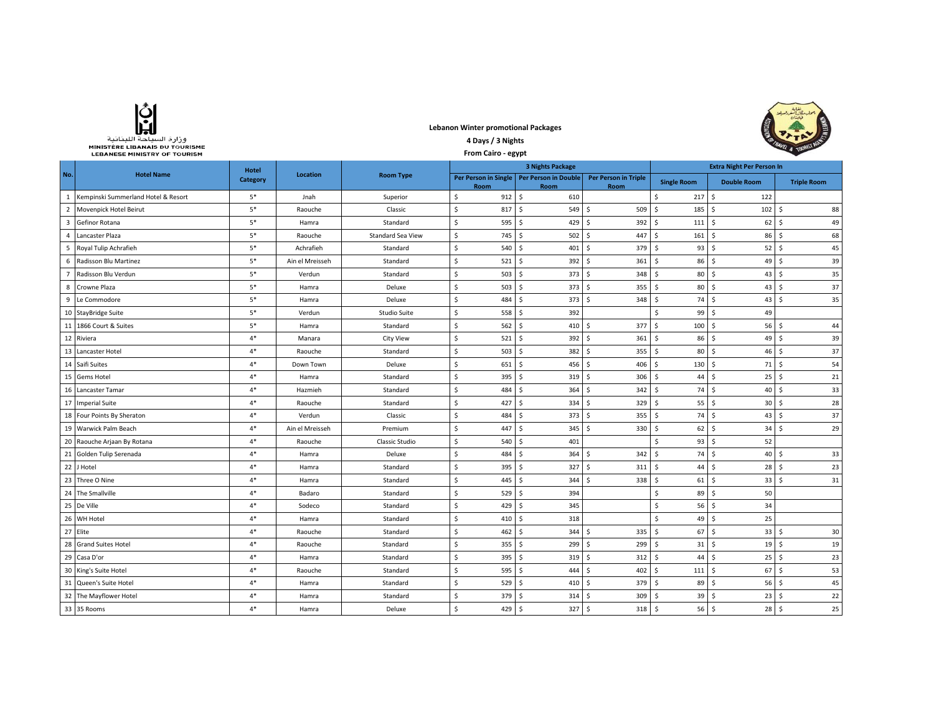| وزارة السياحة اللينانية               |
|---------------------------------------|
| <b>MINISTÈRE LIBANAIS DU TOURISME</b> |
| <b>LEBANESE MINISTRY OF TOURISM</b>   |

## **Lebanon Winter promotional Packages 4 Days / 3 Nights**



|                | МІНІЭТЕКЕ СІВАНАІЭ РО ТООКІЭМЕ<br><b>LEBANESE MINISTRY OF TOURISM</b> |              |                 | <b>Ex. 8 10mm</b>        |                         |                                                     |                                     |                                     |                                                      |                    |  |
|----------------|-----------------------------------------------------------------------|--------------|-----------------|--------------------------|-------------------------|-----------------------------------------------------|-------------------------------------|-------------------------------------|------------------------------------------------------|--------------------|--|
|                |                                                                       | <b>Hotel</b> |                 |                          | <b>3 Nights Package</b> |                                                     |                                     | <b>Extra Night Per Person In</b>    |                                                      |                    |  |
| No.            | <b>Hotel Name</b>                                                     | Category     | Location        | <b>Room Type</b>         | Room                    | Per Person in Single   Per Person in Double<br>Room | <b>Per Person in Triple</b><br>Room | <b>Single Room</b>                  | <b>Double Room</b>                                   | <b>Triple Room</b> |  |
|                | 1 Kempinski Summerland Hotel & Resort                                 | $5*$         | Jnah            | Superior                 | \$<br>912               | $\mathsf{S}$<br>610                                 |                                     | \$<br>217                           | \$<br>122                                            |                    |  |
| $\overline{2}$ | Movenpick Hotel Beirut                                                | $5*$         | Raouche         | Classic                  | \$<br>817               | s.<br>549                                           | Ŝ.<br>509                           | $\mathsf{\hat{S}}$<br>185           | \$<br>102                                            | Ŝ.<br>88           |  |
| 3              | Gefinor Rotana                                                        | $5*$         | Hamra           | Standard                 | \$<br>595               | 429<br>-Ś                                           | S.<br>392                           | \$<br>111                           | $62$ $\sqrt{5}$<br>Ŝ.                                | 49                 |  |
| $\overline{4}$ | Lancaster Plaza                                                       | $5*$         | Raouche         | <b>Standard Sea View</b> | \$<br>745               | 502<br>-S                                           | 447<br>Ŝ.                           | \$<br>161                           | $86 \quad$<br>S.                                     | 68                 |  |
| 5              | Royal Tulip Achrafieh                                                 | $5*$         | Achrafieh       | Standard                 | \$<br>540               | 401<br>-Ś                                           | 379<br>Ŝ.                           | 93<br>-S                            | Ŝ.<br>52                                             | I\$<br>45          |  |
| 6              | Radisson Blu Martinez                                                 | $5*$         | Ain el Mreisseh | Standard                 | \$<br>521               | 392<br>-Ś                                           | \$<br>361                           | S.<br>86                            | Ŝ.<br>49                                             | Ŝ.<br>39           |  |
| 7              | Radisson Blu Verdun                                                   | $5*$         | Verdun          | Standard                 | \$<br>503               | 373<br>- Ś                                          | 348<br>-Ś                           | S.<br>80                            | Ŝ.<br>43                                             | Ś.<br>35           |  |
| 8              | Crowne Plaza                                                          | $5*$         | Hamra           | Deluxe                   | \$<br>503               | 373<br>- Ś                                          | 355<br>Ŝ.                           | S.<br>80                            | Ŝ.<br>43                                             | Ŝ.<br>37           |  |
| 9              | Le Commodore                                                          | $5*$         | Hamra           | Deluxe                   | \$<br>484               | 373<br>- Ś                                          | <b>S</b><br>348                     | \$<br>74                            | \$<br>43                                             | $\mathsf S$<br>35  |  |
|                | 10 StayBridge Suite                                                   | $5*$         | Verdun          | Studio Suite             | \$<br>558               | 392<br>S,                                           |                                     | <sub>S</sub><br>99                  | Ŝ.<br>49                                             |                    |  |
|                | 11 1866 Court & Suites                                                | $5*$         | Hamra           | Standard                 | \$<br>562               | 410S<br>- Ś                                         | 377                                 | \$<br>100                           | \$<br>$56 \quad S$                                   | 44                 |  |
|                | 12 Riviera                                                            | $4*$         | Manara          | <b>City View</b>         | \$<br>521               | -\$<br>392                                          | 361<br>Ŝ.                           | S.<br>86                            | Ŝ.<br>49                                             | I \$<br>39         |  |
| 13             | Lancaster Hotel                                                       | $4*$         | Raouche         | Standard                 | \$<br>503               | 382<br>- Ś                                          | 355<br>-\$                          | S.<br>80                            | \$<br>46                                             | l \$<br>37         |  |
|                | 14 Saifi Suites                                                       | $4*$         | Down Town       | Deluxe                   | \$<br>651               | -\$<br>456                                          | S.<br>406                           | $\mathsf{\hat{S}}$<br>130           | \$<br>$71$ $\overline{\phantom{1}}$                  | 54                 |  |
|                | 15 Gems Hotel                                                         | $4*$         | Hamra           | Standard                 | \$<br>395               | -\$<br>319 <sup>5</sup>                             | 306                                 | S.<br>44                            | \$<br>$25 \quad$                                     | 21                 |  |
|                | 16 Lancaster Tamar                                                    | $4*$         | Hazmieh         | Standard                 | $\mathsf S$<br>484      | S.<br>364                                           | 342<br>-\$                          | \$<br>74                            | \$<br>$40 \quad$ \$                                  | 33                 |  |
|                | 17 Imperial Suite                                                     | $4*$         | Raouche         | Standard                 | \$<br>427               | 334 \$<br>-Ś                                        | 329                                 | Ŝ.<br>55                            | S.<br>$30 \quad$ \$                                  | 28                 |  |
|                | 18 Four Points By Sheraton                                            | $4*$         | Verdun          | Classic                  | \$<br>484               | 373<br>-Ś                                           | - Ś<br>355                          | 74<br>-\$                           | Ŝ.<br>$43 \quad S$                                   | 37                 |  |
|                | 19 Warwick Palm Beach                                                 | $4*$         | Ain el Mreisseh | Premium                  | \$<br>447               | 345S<br>-Ś                                          | 330                                 | 62<br>-\$                           | S.<br>$34 \overline{\smash{\big)}\smash{\mathsf{5}}$ | 29                 |  |
|                | 20 Raouche Arjaan By Rotana                                           | $4*$         | Raouche         | Classic Studio           | \$<br>540               | 401<br>-Ś                                           |                                     | 93<br>Ŝ                             | Ŝ.<br>52                                             |                    |  |
|                | 21 Golden Tulip Serenada                                              | $4*$         | Hamra           | Deluxe                   | \$<br>484               | 364<br>-Ś                                           | 342<br>Ŝ.                           | S.<br>74                            | \$<br>$40 \quad$ \$                                  | 33                 |  |
|                | 22 J Hotel                                                            | $4*$         | Hamra           | Standard                 | \$<br>395               | -Ś<br>327                                           | Ŝ.<br>311                           | S.<br>44                            | Ŝ.<br>28                                             | I \$<br>23         |  |
|                | 23 Three O Nine                                                       | $4*$         | Hamra           | Standard                 | \$<br>445               | 344<br>- Ś                                          | <b>S</b><br>338                     | \$<br>61                            | \$<br>33 <sup>5</sup>                                | 31                 |  |
|                | 24 The Smallville                                                     | $4*$         | Badaro          | Standard                 | \$<br>529               | 394<br>S,                                           |                                     | Ŝ.<br>89                            | Ŝ.<br>50                                             |                    |  |
|                | 25 De Ville                                                           | $4*$         | Sodeco          | Standard                 | \$<br>429               | 345<br>- Ś                                          |                                     | 56<br>Ŝ                             | Ŝ.<br>34                                             |                    |  |
|                | 26 WH Hotel                                                           | $4*$         | Hamra           | Standard                 | \$<br>410               | 318<br>- Ś                                          |                                     | Ŝ.<br>49                            | S.<br>25                                             |                    |  |
|                | 27 Elite                                                              | $4*$         | Raouche         | Standard                 | \$<br>462               | - Ś<br>344                                          | -\$<br>335                          | S.<br>67                            | \$<br>33                                             | <b>S</b><br>30     |  |
|                | 28 Grand Suites Hotel                                                 | $4*$         | Raouche         | Standard                 | Ś.<br>355               | 299<br>-S                                           | 299<br>Ŝ.                           | S.<br>31                            | \$<br>19                                             | Ŝ.<br>19           |  |
|                | 29 Casa D'or                                                          | $4*$         | Hamra           | Standard                 | \$<br>395               | -S<br>319                                           | Ŝ.<br>312                           | S.<br>44                            | \$<br>25                                             | Ŝ.<br>23           |  |
|                | 30 King's Suite Hotel                                                 | $4*$         | Raouche         | Standard                 | \$<br>595               | -Ś<br>444                                           | 402<br>Ŝ.                           | \$<br>111                           | \$<br>$67$ \$                                        | 53                 |  |
|                | 31 Queen's Suite Hotel                                                | $4*$         | Hamra           | Standard                 | \$<br>529               | 410S<br>-Ś                                          | 379                                 | S.<br>89                            | Ŝ.<br>$56 \quad$                                     | 45                 |  |
|                | 32 The Mayflower Hotel                                                | $4*$         | Hamra           | Standard                 | \$<br>379               | 314<br>- Ś                                          | -\$<br>309                          | -S<br>39                            | \$<br>$23 \quad 5$                                   | 22                 |  |
|                | 33 35 Rooms                                                           | $4*$         | Hamra           | Deluxe                   | \$<br>429 \$            | 327S                                                | 318                                 | $56$ $\overline{\phantom{0}}$<br>S. | 28 <sub>5</sub>                                      | 25                 |  |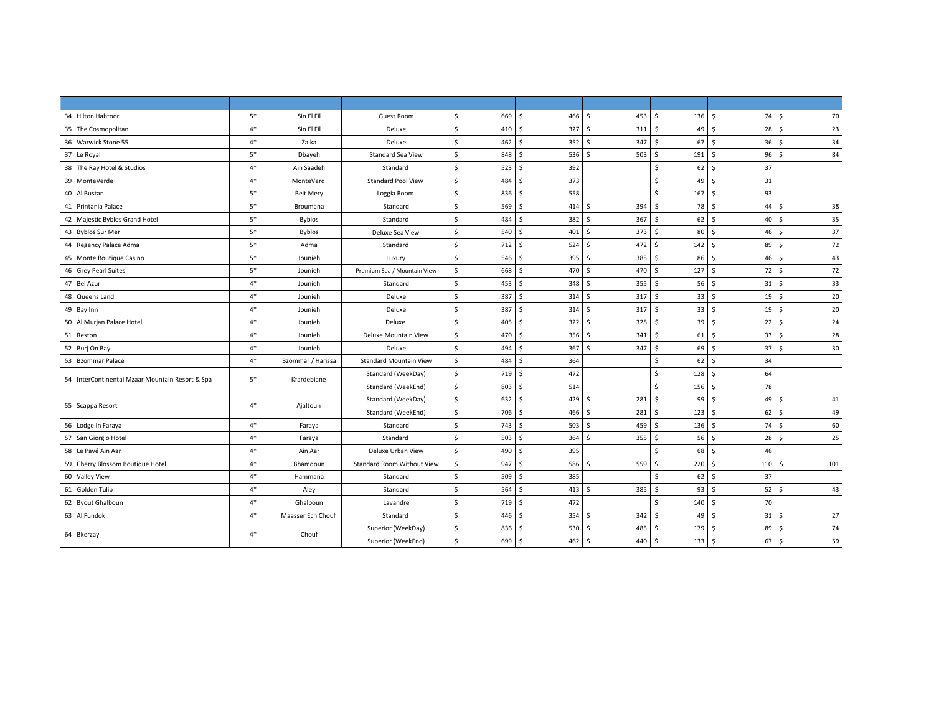| 34 Hilton Habtoor                               | $5*$ | Sin El Fil        | Guest Room                        | \$<br>669 | $\mathsf{S}$<br>466 <sup>5</sup> | 453                 | \$<br>$136 \quad $$  | 74         | 70<br>- Ś            |
|-------------------------------------------------|------|-------------------|-----------------------------------|-----------|----------------------------------|---------------------|----------------------|------------|----------------------|
| 35 The Cosmopolitan                             | $4*$ | Sin El Fil        | Deluxe                            | \$<br>410 | 327S<br>\$                       | 311                 | 49<br>\$             | 28<br>l \$ | -\$<br>23            |
| 36 Warwick Stone 55                             | $4*$ | Zalka             | Deluxe                            | \$<br>462 | \$<br>$352 \quad $$              | 347                 | Ŝ.<br>67             | l \$<br>36 | 34<br>-\$            |
| 37 Le Royal                                     | $5*$ | Dbayeh            | <b>Standard Sea View</b>          | \$<br>848 | Ś.<br>5365                       | 503                 | \$<br>191            | l \$<br>96 | $\mathsf{s}$<br>84   |
| 38 The Ray Hotel & Studios                      | $4*$ | Ain Saadeh        | Standard                          | 523<br>\$ | Ś<br>392                         |                     | 62<br>Ŝ.             | 37<br>۱Ś.  |                      |
| 39<br>MonteVerde                                | $4*$ | MonteVerd         | <b>Standard Pool View</b>         | Ś<br>484  | Š.<br>373                        |                     | <sub>S</sub><br>49   | l \$<br>31 |                      |
| 40<br>Al Bustan                                 | $5*$ | <b>Beit Mery</b>  | Loggia Room                       | Ś.<br>836 | 558<br>Ś                         |                     | \$<br>167            | 93<br>S.   |                      |
| 41 Printania Palace                             | $5*$ | Broumana          | Standard                          | \$<br>569 | Ś<br>414S                        | 394                 | Ŝ.<br>78             | 44<br>۱Ś.  | 38<br><sup>5</sup>   |
| 42 Majestic Byblos Grand Hotel                  | $5*$ | <b>Byblos</b>     | Standard                          | Ś.<br>484 | Ś<br>382 \$                      | 367                 | 62<br>S.             | 40<br>l S  | 35<br>-Ś             |
| 43 Byblos Sur Mer                               | $5*$ | Byblos            | Deluxe Sea View                   | \$<br>540 | Ś.<br>$401 \,$ \$                | 373                 | Ŝ.<br>80 \$          | 46         | 37<br>- Ś            |
| 44 Regency Palace Adma                          | $5*$ | Adma              | Standard                          | \$<br>712 | Ś<br>$524$ \$                    | 472                 | $142 \quad$ \$<br>\$ | 89         | 72<br>-\$            |
| 45 Monte Boutique Casino                        | $5*$ | Jounieh           | Luxury                            | \$<br>546 | \$<br>395S                       | 385                 | Ŝ.<br>86             | l s<br>46  | 43<br>Ŝ.             |
| 46 Grey Pearl Suites                            | $5*$ | Jounieh           | Premium Sea / Mountain View       | Ś.<br>668 | Ś.<br>470 \$                     | 470                 | \$<br>127            | 72<br>l s  | 72<br>-\$            |
| 47 Bel Azur                                     | $4*$ | Jounieh           | Standard                          | \$<br>453 | Š.<br>348 \$                     | 355                 | 56<br>Ŝ.             | l \$<br>31 | 33<br>S.             |
| 48 Queens Land                                  | $4*$ | Jounieh           | Deluxe                            | \$<br>387 | Š.<br>314                        | -Ś<br>317           | Ŝ.<br>33             | 19<br>l s  | 20<br>-Ś             |
| 49 Bay Inn                                      | $4*$ | Jounieh           | Deluxe                            | \$<br>387 | Ś<br>314S                        | 317                 | $\mathsf{S}$<br>33   | l s<br>19  | 20<br>Ŝ.             |
| 50 Al Murjan Palace Hotel                       | $4*$ | Jounieh           | Deluxe                            | Ś<br>405  | Ś.<br>$322 \quad S$              | 328                 | Ŝ.<br>39             | 22<br>l \$ | 24<br>-\$            |
| 51 Reston                                       | $4*$ | Jounieh           | Deluxe Mountain View              | \$<br>470 | \$<br>356 <sup>5</sup>           | 341                 | Ŝ.<br>61             | l \$<br>33 | 28<br>S.             |
| 52 Burj On Bay                                  | $4*$ | Jounieh           | Deluxe                            | \$<br>494 | Ś<br>367                         | 347<br>$\mathsf{S}$ | Ŝ.<br>69             | l s<br>37  | 30<br>Ŝ.             |
| 53 Bzommar Palace                               | $4*$ | Bzommar / Harissa | <b>Standard Mountain View</b>     | Ś<br>484  | Ś.<br>364                        |                     | Ŝ.<br>62             | 34<br>۱Ś.  |                      |
| 54 InterContinental Mzaar Mountain Resort & Spa | $5*$ | Kfardebiane       | Standard (WeekDay)                | \$<br>719 | Ś<br>472                         |                     | 128<br>\$            | 64<br>۱s   |                      |
|                                                 |      |                   | Standard (WeekEnd)                | \$<br>803 | Š.<br>514                        |                     | \$<br>156            | l \$<br>78 |                      |
| 55 Scappa Resort                                | $4*$ |                   | Standard (WeekDay)                | \$<br>632 | Ś<br>429                         | -Ś<br>281           | 99<br>\$             | 49<br>۱Ś.  | 41<br>-S             |
|                                                 |      | Ajaltoun          | Standard (WeekEnd)                | \$<br>706 | \$<br>466 \$                     | 281                 | \$<br>123            | l \$<br>62 | 49<br>- Ś            |
| 56 Lodge In Faraya                              | $4*$ | Faraya            | Standard                          | \$<br>743 | \$<br>503 <sup>5</sup>           | 459                 | $136 \quad $$<br>\$  | 74         | 60<br>-\$            |
| 57 San Giorgio Hotel                            | $4*$ | Faraya            | Standard                          | \$<br>503 | Ś.<br>364                        | 355<br>Ŝ.           | $56$ \$<br>\$        | 28         | 25<br>Ŝ              |
| 58 Le Pavé Ain Aar                              | $4*$ | Ain Aar           | Deluxe Urban View                 | \$<br>490 | Ś<br>395                         |                     | <sub>S</sub><br>68   | 46<br>l s  |                      |
| 59 Cherry Blossom Boutique Hotel                | $4*$ | Bhamdoun          | <b>Standard Room Without View</b> | Ś<br>947  | \$<br>586 \$                     | 559                 | 220<br>Ŝ.            | l s<br>110 | 101<br><sup>\$</sup> |
| 60 Valley View                                  | $4*$ | Hammana           | Standard                          | \$<br>509 | Š.<br>385                        |                     | 62<br>Ŝ.             | 37<br>۱Ś.  |                      |
| 61 Golden Tulip                                 | $4*$ | Aley              | Standard                          | Ś.<br>564 | Ś.<br>$413 \quad$ \$             | 385                 | 93<br>Ŝ.             | l \$<br>52 | 43<br>-Ś             |
| 62 Byout Ghalboun                               | $4*$ | Ghalboun          | Lavandre                          | \$<br>719 | Ś<br>472                         |                     | Ŝ.<br>140            | 70<br>l \$ |                      |
| 63 Al Fundok                                    | $4*$ | Maasser Ech Chouf | Standard                          | \$<br>446 | Ś<br>354S                        | 342                 | Ŝ.<br>$49$ \$        | 31         | 27<br>- Ś            |
|                                                 |      |                   | Superior (WeekDay)                | \$<br>836 | Ś.<br>530 \$                     | 485                 | Ŝ.<br>179            | 89<br>l \$ | 74<br>-\$            |
| 64 Bkerzay                                      | $4*$ | Chouf             | Superior (WeekEnd)                | \$<br>699 | \$<br>462 \$                     | 440                 | $133 \quad $5$<br>\$ | 67         | 59<br>l\$            |